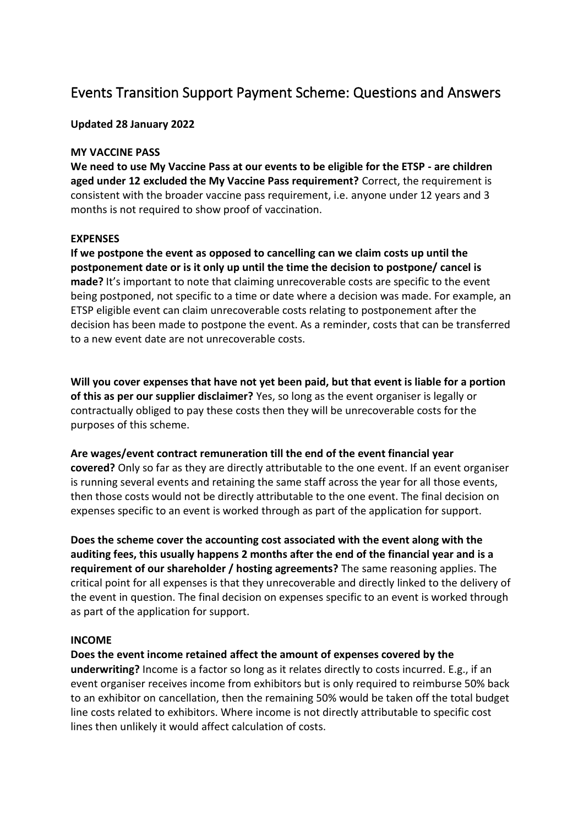# Events Transition Support Payment Scheme: Questions and Answers

**Updated 28 January 2022**

#### **MY VACCINE PASS**

**We need to use My Vaccine Pass at our events to be eligible for the ETSP - are children aged under 12 excluded the My Vaccine Pass requirement?** Correct, the requirement is consistent with the broader vaccine pass requirement, i.e. anyone under 12 years and 3 months is not required to show proof of vaccination.

#### **EXPENSES**

**If we postpone the event as opposed to cancelling can we claim costs up until the postponement date or is it only up until the time the decision to postpone/ cancel is made?** It's important to note that claiming unrecoverable costs are specific to the event being postponed, not specific to a time or date where a decision was made. For example, an ETSP eligible event can claim unrecoverable costs relating to postponement after the decision has been made to postpone the event. As a reminder, costs that can be transferred to a new event date are not unrecoverable costs.

**Will you cover expenses that have not yet been paid, but that event is liable for a portion of this as per our supplier disclaimer?** Yes, so long as the event organiser is legally or contractually obliged to pay these costs then they will be unrecoverable costs for the purposes of this scheme.

## **Are wages/event contract remuneration till the end of the event financial year**

**covered?** Only so far as they are directly attributable to the one event. If an event organiser is running several events and retaining the same staff across the year for all those events, then those costs would not be directly attributable to the one event. The final decision on expenses specific to an event is worked through as part of the application for support.

**Does the scheme cover the accounting cost associated with the event along with the auditing fees, this usually happens 2 months after the end of the financial year and is a requirement of our shareholder / hosting agreements?** The same reasoning applies. The critical point for all expenses is that they unrecoverable and directly linked to the delivery of the event in question. The final decision on expenses specific to an event is worked through as part of the application for support.

#### **INCOME**

**Does the event income retained affect the amount of expenses covered by the underwriting?** Income is a factor so long as it relates directly to costs incurred. E.g., if an event organiser receives income from exhibitors but is only required to reimburse 50% back to an exhibitor on cancellation, then the remaining 50% would be taken off the total budget line costs related to exhibitors. Where income is not directly attributable to specific cost lines then unlikely it would affect calculation of costs.